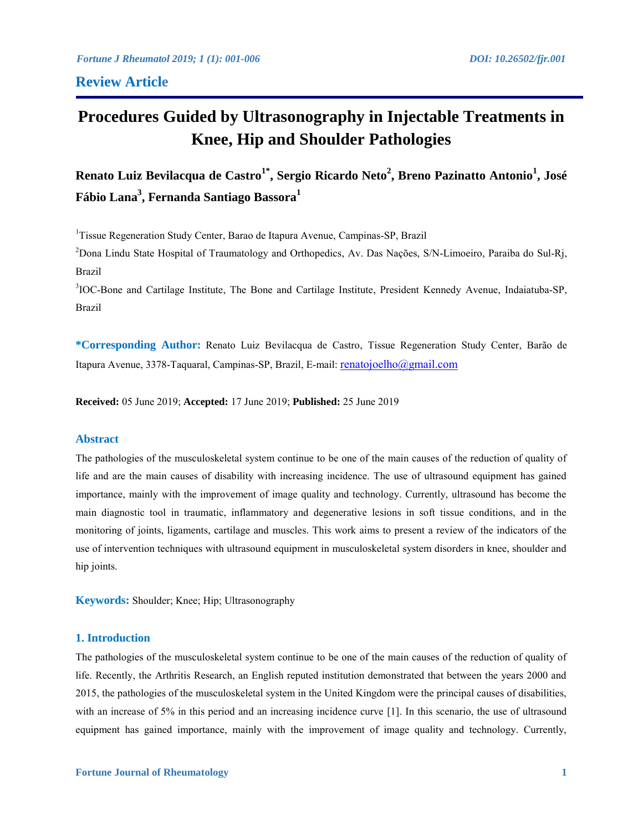# **Review Article**

# **Procedures Guided by Ultrasonography in Injectable Treatments in Knee, Hip and Shoulder Pathologies**

**Renato Luiz Bevilacqua de Castro1\* , Sergio Ricardo Neto<sup>2</sup> , Breno Pazinatto Antonio<sup>1</sup> , José Fábio Lana<sup>3</sup> , Fernanda Santiago Bassora<sup>1</sup>**

<sup>1</sup>Tissue Regeneration Study Center, Barao de Itapura Avenue, Campinas-SP, Brazil

<sup>2</sup>Dona Lindu State Hospital of Traumatology and Orthopedics, Av. Das Nações, S/N-Limoeiro, Paraiba do Sul-Rj, Brazil

<sup>3</sup>IOC-Bone and Cartilage Institute, The Bone and Cartilage Institute, President Kennedy Avenue, Indaiatuba-SP, Brazil

**\*Corresponding Author:** Renato Luiz Bevilacqua de Castro, Tissue Regeneration Study Center, Barão de Itapura Avenue, 3378-Taquaral, Campinas-SP, Brazil, E-mail: renatojoelho@gmail.com

**Received:** 05 June 2019; **Accepted:** 17 June 2019; **Published:** 25 June 2019

# **Abstract**

The pathologies of the musculoskeletal system continue to be one of the main causes of the reduction of quality of life and are the main causes of disability with increasing incidence. The use of ultrasound equipment has gained importance, mainly with the improvement of image quality and technology. Currently, ultrasound has become the main diagnostic tool in traumatic, inflammatory and degenerative lesions in soft tissue conditions, and in the monitoring of joints, ligaments, cartilage and muscles. This work aims to present a review of the indicators of the use of intervention techniques with ultrasound equipment in musculoskeletal system disorders in knee, shoulder and hip joints.

**Keywords:** Shoulder; Knee; Hip; Ultrasonography

#### **1. Introduction**

The pathologies of the musculoskeletal system continue to be one of the main causes of the reduction of quality of life. Recently, the Arthritis Research, an English reputed institution demonstrated that between the years 2000 and 2015, the pathologies of the musculoskeletal system in the United Kingdom were the principal causes of disabilities, with an increase of 5% in this period and an increasing incidence curve [1]. In this scenario, the use of ultrasound equipment has gained importance, mainly with the improvement of image quality and technology. Currently,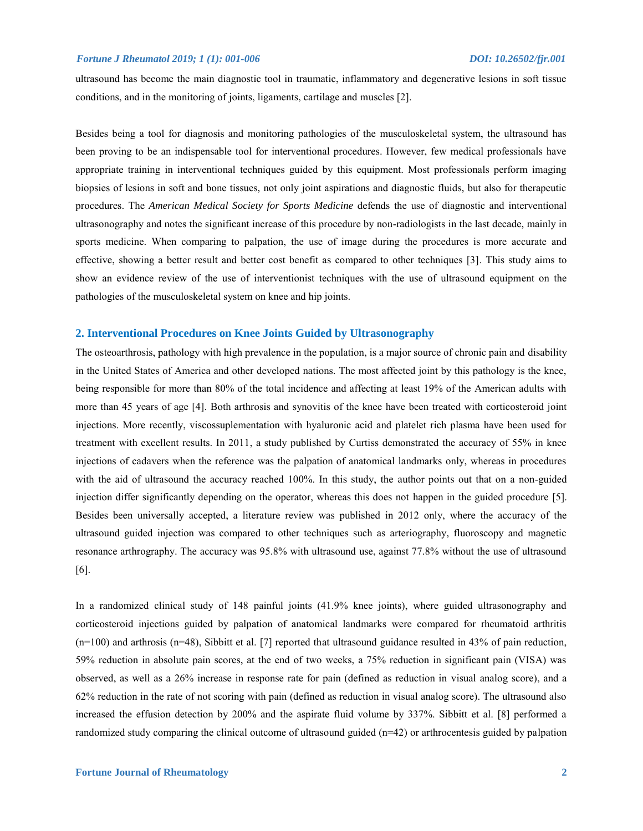ultrasound has become the main diagnostic tool in traumatic, inflammatory and degenerative lesions in soft tissue conditions, and in the monitoring of joints, ligaments, cartilage and muscles [2].

Besides being a tool for diagnosis and monitoring pathologies of the musculoskeletal system, the ultrasound has been proving to be an indispensable tool for interventional procedures. However, few medical professionals have appropriate training in interventional techniques guided by this equipment. Most professionals perform imaging biopsies of lesions in soft and bone tissues, not only joint aspirations and diagnostic fluids, but also for therapeutic procedures. The *American Medical Society for Sports Medicine* defends the use of diagnostic and interventional ultrasonography and notes the significant increase of this procedure by non-radiologists in the last decade, mainly in sports medicine. When comparing to palpation, the use of image during the procedures is more accurate and effective, showing a better result and better cost benefit as compared to other techniques [3]. This study aims to show an evidence review of the use of interventionist techniques with the use of ultrasound equipment on the pathologies of the musculoskeletal system on knee and hip joints.

# **2. Interventional Procedures on Knee Joints Guided by Ultrasonography**

The osteoarthrosis, pathology with high prevalence in the population, is a major source of chronic pain and disability in the United States of America and other developed nations. The most affected joint by this pathology is the knee, being responsible for more than 80% of the total incidence and affecting at least 19% of the American adults with more than 45 years of age [4]. Both arthrosis and synovitis of the knee have been treated with corticosteroid joint injections. More recently, viscossuplementation with hyaluronic acid and platelet rich plasma have been used for treatment with excellent results. In 2011, a study published by Curtiss demonstrated the accuracy of 55% in knee injections of cadavers when the reference was the palpation of anatomical landmarks only, whereas in procedures with the aid of ultrasound the accuracy reached 100%. In this study, the author points out that on a non-guided injection differ significantly depending on the operator, whereas this does not happen in the guided procedure [5]. Besides been universally accepted, a literature review was published in 2012 only, where the accuracy of the ultrasound guided injection was compared to other techniques such as arteriography, fluoroscopy and magnetic resonance arthrography. The accuracy was 95.8% with ultrasound use, against 77.8% without the use of ultrasound [6].

In a randomized clinical study of 148 painful joints (41.9% knee joints), where guided ultrasonography and corticosteroid injections guided by palpation of anatomical landmarks were compared for rheumatoid arthritis  $(n=100)$  and arthrosis  $(n=48)$ , Sibbitt et al. [7] reported that ultrasound guidance resulted in 43% of pain reduction, 59% reduction in absolute pain scores, at the end of two weeks, a 75% reduction in significant pain (VISA) was observed, as well as a 26% increase in response rate for pain (defined as reduction in visual analog score), and a 62% reduction in the rate of not scoring with pain (defined as reduction in visual analog score). The ultrasound also increased the effusion detection by 200% and the aspirate fluid volume by 337%. Sibbitt et al. [8] performed a randomized study comparing the clinical outcome of ultrasound guided (n=42) or arthrocentesis guided by palpation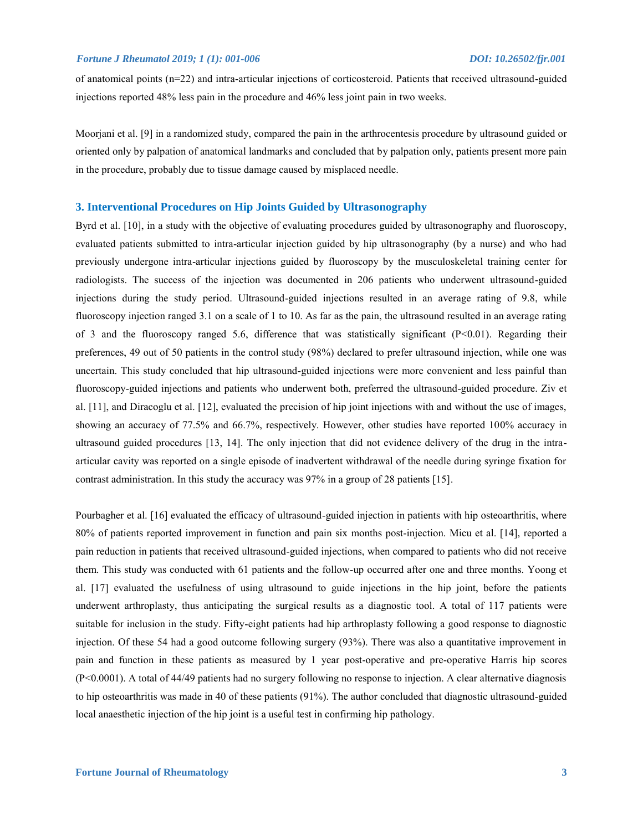of anatomical points (n=22) and intra-articular injections of corticosteroid. Patients that received ultrasound-guided injections reported 48% less pain in the procedure and 46% less joint pain in two weeks.

Moorjani et al. [9] in a randomized study, compared the pain in the arthrocentesis procedure by ultrasound guided or oriented only by palpation of anatomical landmarks and concluded that by palpation only, patients present more pain in the procedure, probably due to tissue damage caused by misplaced needle.

# **3. Interventional Procedures on Hip Joints Guided by Ultrasonography**

Byrd et al. [10], in a study with the objective of evaluating procedures guided by ultrasonography and fluoroscopy, evaluated patients submitted to intra-articular injection guided by hip ultrasonography (by a nurse) and who had previously undergone intra-articular injections guided by fluoroscopy by the musculoskeletal training center for radiologists. The success of the injection was documented in 206 patients who underwent ultrasound-guided injections during the study period. Ultrasound-guided injections resulted in an average rating of 9.8, while fluoroscopy injection ranged 3.1 on a scale of 1 to 10. As far as the pain, the ultrasound resulted in an average rating of 3 and the fluoroscopy ranged 5.6, difference that was statistically significant (P<0.01). Regarding their preferences, 49 out of 50 patients in the control study (98%) declared to prefer ultrasound injection, while one was uncertain. This study concluded that hip ultrasound-guided injections were more convenient and less painful than fluoroscopy-guided injections and patients who underwent both, preferred the ultrasound-guided procedure. Ziv et al. [11], and Diracoglu et al. [12], evaluated the precision of hip joint injections with and without the use of images, showing an accuracy of 77.5% and 66.7%, respectively. However, other studies have reported 100% accuracy in ultrasound guided procedures [13, 14]. The only injection that did not evidence delivery of the drug in the intraarticular cavity was reported on a single episode of inadvertent withdrawal of the needle during syringe fixation for contrast administration. In this study the accuracy was 97% in a group of 28 patients [15].

Pourbagher et al. [16] evaluated the efficacy of ultrasound-guided injection in patients with hip osteoarthritis, where 80% of patients reported improvement in function and pain six months post-injection. Micu et al. [14], reported a pain reduction in patients that received ultrasound-guided injections, when compared to patients who did not receive them. This study was conducted with 61 patients and the follow-up occurred after one and three months. Yoong et al. [17] evaluated the usefulness of using ultrasound to guide injections in the hip joint, before the patients underwent arthroplasty, thus anticipating the surgical results as a diagnostic tool. A total of 117 patients were suitable for inclusion in the study. Fifty-eight patients had hip arthroplasty following a good response to diagnostic injection. Of these 54 had a good outcome following surgery (93%). There was also a quantitative improvement in pain and function in these patients as measured by 1 year post-operative and pre-operative Harris hip scores (P<0.0001). A total of 44/49 patients had no surgery following no response to injection. A clear alternative diagnosis to hip osteoarthritis was made in 40 of these patients (91%). The author concluded that diagnostic ultrasound-guided local anaesthetic injection of the hip joint is a useful test in confirming hip pathology.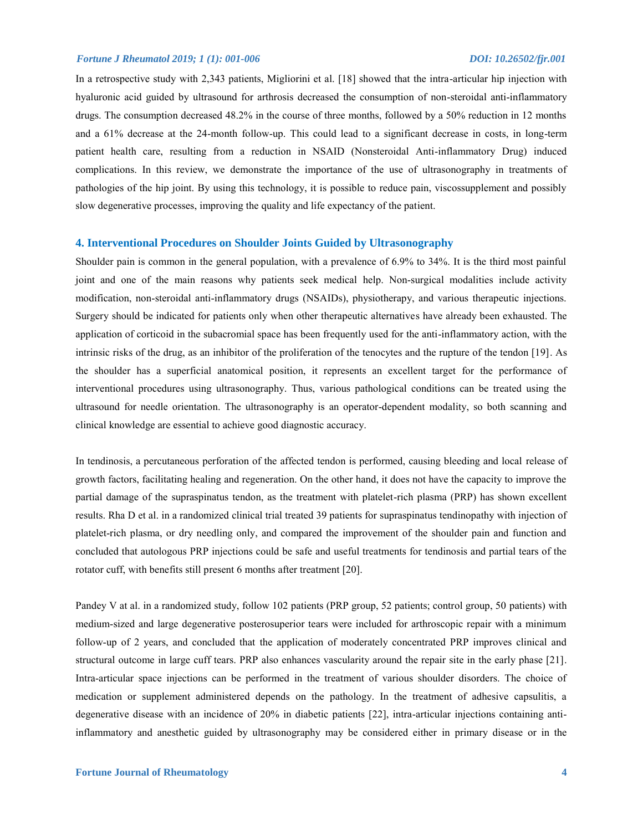In a retrospective study with 2,343 patients, Migliorini et al. [18] showed that the intra-articular hip injection with hyaluronic acid guided by ultrasound for arthrosis decreased the consumption of non-steroidal anti-inflammatory drugs. The consumption decreased 48.2% in the course of three months, followed by a 50% reduction in 12 months and a 61% decrease at the 24-month follow-up. This could lead to a significant decrease in costs, in long-term patient health care, resulting from a reduction in NSAID (Nonsteroidal Anti-inflammatory Drug) induced complications. In this review, we demonstrate the importance of the use of ultrasonography in treatments of pathologies of the hip joint. By using this technology, it is possible to reduce pain, viscossupplement and possibly slow degenerative processes, improving the quality and life expectancy of the patient.

# **4. Interventional Procedures on Shoulder Joints Guided by Ultrasonography**

Shoulder pain is common in the general population, with a prevalence of 6.9% to 34%. It is the third most painful joint and one of the main reasons why patients seek medical help. Non-surgical modalities include activity modification, non-steroidal anti-inflammatory drugs (NSAIDs), physiotherapy, and various therapeutic injections. Surgery should be indicated for patients only when other therapeutic alternatives have already been exhausted. The application of corticoid in the subacromial space has been frequently used for the anti-inflammatory action, with the intrinsic risks of the drug, as an inhibitor of the proliferation of the tenocytes and the rupture of the tendon [19]. As the shoulder has a superficial anatomical position, it represents an excellent target for the performance of interventional procedures using ultrasonography. Thus, various pathological conditions can be treated using the ultrasound for needle orientation. The ultrasonography is an operator-dependent modality, so both scanning and clinical knowledge are essential to achieve good diagnostic accuracy.

In tendinosis, a percutaneous perforation of the affected tendon is performed, causing bleeding and local release of growth factors, facilitating healing and regeneration. On the other hand, it does not have the capacity to improve the partial damage of the supraspinatus tendon, as the treatment with platelet-rich plasma (PRP) has shown excellent results. Rha D et al. in a randomized clinical trial treated 39 patients for supraspinatus tendinopathy with injection of platelet-rich plasma, or dry needling only, and compared the improvement of the shoulder pain and function and concluded that autologous PRP injections could be safe and useful treatments for tendinosis and partial tears of the rotator cuff, with benefits still present 6 months after treatment [20].

Pandey V at al. in a randomized study, follow 102 patients (PRP group, 52 patients; control group, 50 patients) with medium-sized and large degenerative posterosuperior tears were included for arthroscopic repair with a minimum follow-up of 2 years, and concluded that the application of moderately concentrated PRP improves clinical and structural outcome in large cuff tears. PRP also enhances vascularity around the repair site in the early phase [21]. Intra-articular space injections can be performed in the treatment of various shoulder disorders. The choice of medication or supplement administered depends on the pathology. In the treatment of adhesive capsulitis, a degenerative disease with an incidence of 20% in diabetic patients [22], intra-articular injections containing antiinflammatory and anesthetic guided by ultrasonography may be considered either in primary disease or in the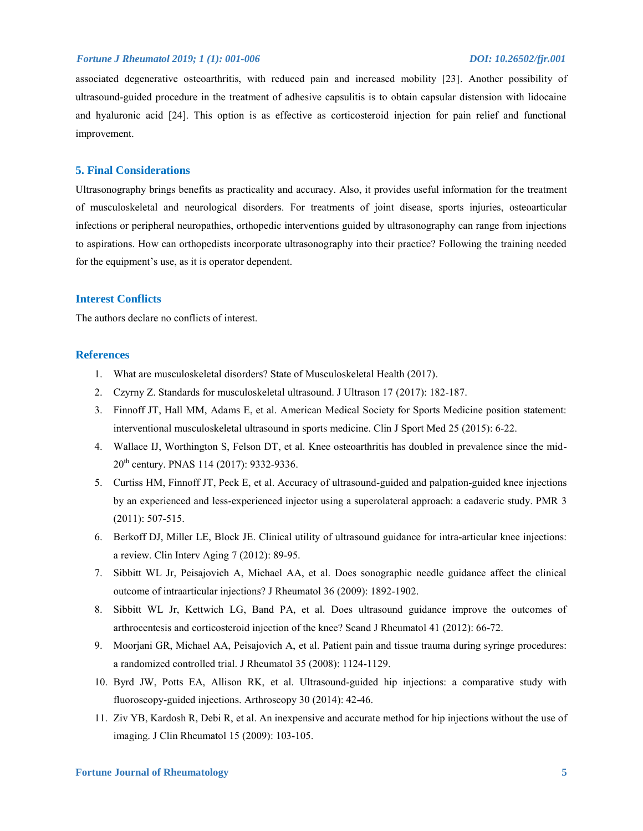associated degenerative osteoarthritis, with reduced pain and increased mobility [23]. Another possibility of ultrasound-guided procedure in the treatment of adhesive capsulitis is to obtain capsular distension with lidocaine and hyaluronic acid [24]. This option is as effective as corticosteroid injection for pain relief and functional improvement.

# **5. Final Considerations**

Ultrasonography brings benefits as practicality and accuracy. Also, it provides useful information for the treatment of musculoskeletal and neurological disorders. For treatments of joint disease, sports injuries, osteoarticular infections or peripheral neuropathies, orthopedic interventions guided by ultrasonography can range from injections to aspirations. How can orthopedists incorporate ultrasonography into their practice? Following the training needed for the equipment's use, as it is operator dependent.

# **Interest Conflicts**

The authors declare no conflicts of interest.

# **References**

- 1. What are musculoskeletal disorders? State of Musculoskeletal Health (2017).
- 2. Czyrny Z. Standards for musculoskeletal ultrasound. J Ultrason 17 (2017): 182-187.
- 3. Finnoff JT, Hall MM, Adams E, et al. American Medical Society for Sports Medicine position statement: interventional musculoskeletal ultrasound in sports medicine. Clin J Sport Med 25 (2015): 6-22.
- 4. Wallace IJ, Worthington S, Felson DT, et al. Knee osteoarthritis has doubled in prevalence since the mid-20<sup>th</sup> century. PNAS 114 (2017): 9332-9336.
- 5. Curtiss HM, Finnoff JT, Peck E, et al. Accuracy of ultrasound-guided and palpation-guided knee injections by an experienced and less-experienced injector using a superolateral approach: a cadaveric study. PMR 3 (2011): 507-515.
- 6. Berkoff DJ, Miller LE, Block JE. Clinical utility of ultrasound guidance for intra-articular knee injections: a review. Clin Interv Aging 7 (2012): 89-95.
- 7. Sibbitt WL Jr, Peisajovich A, Michael AA, et al. Does sonographic needle guidance affect the clinical outcome of intraarticular injections? J Rheumatol 36 (2009): 1892-1902.
- 8. Sibbitt WL Jr, Kettwich LG, Band PA, et al. Does ultrasound guidance improve the outcomes of arthrocentesis and corticosteroid injection of the knee? Scand J Rheumatol 41 (2012): 66-72.
- 9. Moorjani GR, Michael AA, Peisajovich A, et al. Patient pain and tissue trauma during syringe procedures: a randomized controlled trial. J Rheumatol 35 (2008): 1124-1129.
- 10. Byrd JW, Potts EA, Allison RK, et al. Ultrasound-guided hip injections: a comparative study with fluoroscopy-guided injections. Arthroscopy 30 (2014): 42-46.
- 11. Ziv YB, Kardosh R, Debi R, et al. An inexpensive and accurate method for hip injections without the use of imaging. J Clin Rheumatol 15 (2009): 103-105.